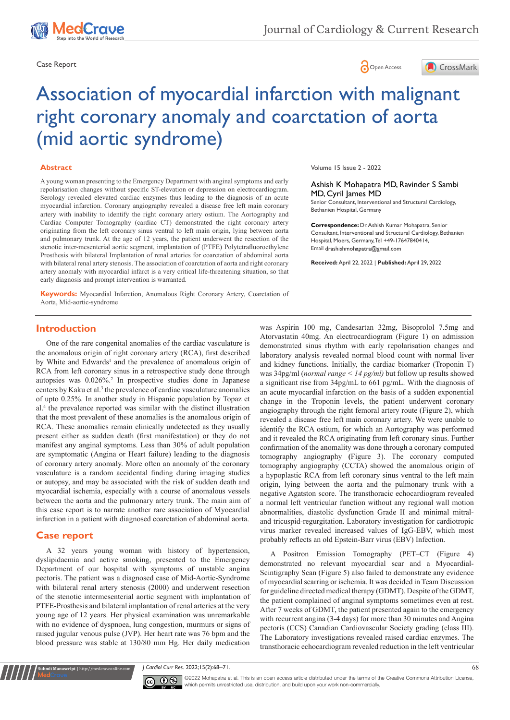





# Association of myocardial infarction with malignant right coronary anomaly and coarctation of aorta (mid aortic syndrome)

### **Abstract**

A young woman presenting to the Emergency Department with anginal symptoms and early repolarisation changes without specific ST-elevation or depression on electrocardiogram. Serology revealed elevated cardiac enzymes thus leading to the diagnosis of an acute myocardial infarction. Coronary angiography revealed a disease free left main coronary artery with inability to identify the right coronary artery ostium. The Aortography and Cardiac Computer Tomography (cardiac CT) demonstrated the right coronary artery originating from the left coronary sinus ventral to left main origin, lying between aorta and pulmonary trunk. At the age of 12 years, the patient underwent the resection of the stenotic inter-mesenterial aortic segment, implantation of (PTFE) Polytetrafluoroethylene Prosthesis with bilateral Implantation of renal arteries for coarctation of abdominal aorta with bilateral renal artery stenosis. The association of coarctation of aorta and right coronary artery anomaly with myocardial infarct is a very critical life-threatening situation, so that early diagnosis and prompt intervention is warranted.

**Keywords:** Myocardial Infarction, Anomalous Right Coronary Artery, Coarctation of Aorta, Mid-aortic-syndrome

Volume 15 Issue 2 - 2022

#### Ashish K Mohapatra MD, Ravinder S Sambi MD, Cyril James MD

Senior Consultant, Interventional and Structural Cardiology, Bethanien Hospital, Germany

**Correspondence:** Dr. Ashish Kumar Mohapatra, Senior Consultant, Interventional and Structural Cardiology, Bethanien Hospital, Moers, Germany, Tel +49-17647840414, Email drashishmohapatra@gmail.com

**Received:** April 22, 2022 | **Published:** April 29, 2022

## **Introduction**

One of the rare congenital anomalies of the cardiac vasculature is the anomalous origin of right coronary artery (RCA), first described by White and Edwards<sup>1</sup> and the prevalence of anomalous origin of RCA from left coronary sinus in a retrospective study done through autopsies was 0.026%.<sup>2</sup> In prospective studies done in Japanese centers by Kaku et al.<sup>3</sup> the prevalence of cardiac vasculature anomalies of upto 0.25%. In another study in Hispanic population by Topaz et al.<sup>4</sup> the prevalence reported was similar with the distinct illustration that the most prevalent of these anomalies is the anomalous origin of RCA. These anomalies remain clinically undetected as they usually present either as sudden death (first manifestation) or they do not manifest any anginal symptoms. Less than 30% of adult population are symptomatic (Angina or Heart failure) leading to the diagnosis of coronary artery anomaly. More often an anomaly of the coronary vasculature is a random accidental finding during imaging studies or autopsy, and may be associated with the risk of sudden death and myocardial ischemia, especially with a course of anomalous vessels between the aorta and the pulmonary artery trunk. The main aim of this case report is to narrate another rare association of Myocardial infarction in a patient with diagnosed coarctation of abdominal aorta.

## **Case report**

**it Manuscript** | http://medcraveonline.com

A 32 years young woman with history of hypertension, dyslipidaemia and active smoking, presented to the Emergency Department of our hospital with symptoms of unstable angina pectoris. The patient was a diagnosed case of Mid-Aortic-Syndrome with bilateral renal artery stenosis (2000) and underwent resection of the stenotic intermesenterial aortic segment with implantation of PTFE-Prosthesis and bilateral implantation of renal arteries at the very young age of 12 years. Her physical examination was unremarkable with no evidence of dyspnoea, lung congestion, murmurs or signs of raised jugular venous pulse (JVP). Her heart rate was 76 bpm and the blood pressure was stable at 130/80 mm Hg. Her daily medication was Aspirin 100 mg, Candesartan 32mg, Bisoprolol 7.5mg and Atorvastatin 40mg. An electrocardiogram (Figure 1) on admission demonstrated sinus rhythm with early repolarisation changes and laboratory analysis revealed normal blood count with normal liver and kidney functions. Initially, the cardiac biomarker (Troponin T) was 34pg/ml (*normal range < 14 pg/ml)* but follow up results showed a significant rise from 34pg/mL to 661 pg/mL. With the diagnosis of an acute myocardial infarction on the basis of a sudden exponential change in the Troponin levels, the patient underwent coronary angiography through the right femoral artery route (Figure 2), which revealed a disease free left main coronary artery. We were unable to identify the RCA ostium, for which an Aortography was performed and it revealed the RCA originating from left coronary sinus. Further confirmation of the anomality was done through a coronary computed tomography angiography **(**Figure 3). The coronary computed tomography angiography (CCTA) showed the anomalous origin of a hypoplastic RCA from left coronary sinus ventral to the left main origin, lying between the aorta and the pulmonary trunk with a negative Agatston score. The transthoracic echocardiogram revealed a normal left ventricular function without any regional wall motion abnormalities, diastolic dysfunction Grade II and minimal mitraland tricuspid-regurgitation. Laboratory investigation for cardiotropic virus marker revealed increased values of IgG-EBV, which most probably reflects an old Epstein-Barr virus (EBV) Infection.

A Positron Emission Tomography (PET–CT (Figure 4) demonstrated no relevant myocardial scar and a Myocardial-Scintigraphy Scan (Figure 5) also failed to demonstrate any evidence of myocardial scarring or ischemia. It was decided in Team Discussion for guideline directed medical therapy (GDMT). Despite of the GDMT, the patient complained of anginal symptoms sometimes even at rest. After 7 weeks of GDMT, the patient presented again to the emergency with recurrent angina (3-4 days) for more than 30 minutes and Angina pectoris (CCS) Canadian Cardiovascular Society grading (class III). The Laboratory investigations revealed raised cardiac enzymes. The transthoracic echocardiogram revealed reduction in the left ventricular

*J Cardiol Curr Res.* 2022;15(2):68‒71. 68



CC  $\bullet$  ©2022 Mohapatra et al. This is an open access article distributed under the terms of the [Creative Commons Attribution License](https://creativecommons.org/licenses/by-nc/4.0/), which permits unrestricted use, distribution, and build upon your work non-commercially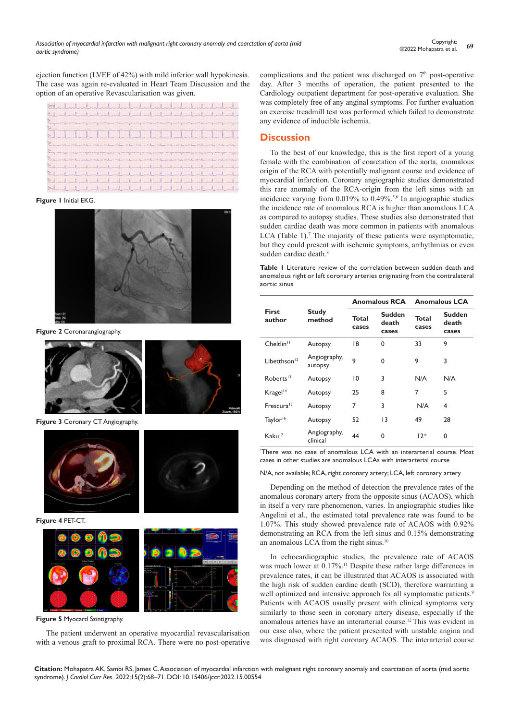ejection function (LVEF of 42%) with mild inferior wall hypokinesia. The case was again re-evaluated in Heart Team Discussion and the option of an operative Revascularisation was given.



### **Figure 1** Initial EKG.



**Figure 2** Coronarangiography.



**Figure 3** Coronary CT Angiography.



**Figure 4** PET-CT.



**Figure 5** Myocard Szintigraphy.

The patient underwent an operative myocardial revascularisation with a venous graft to proximal RCA. There were no post-operative complications and the patient was discharged on  $7<sup>th</sup>$  post-operative day. After 3 months of operation, the patient presented to the Cardiology outpatient department for post-operative evaluation. She was completely free of any anginal symptoms. For further evaluation an exercise treadmill test was performed which failed to demonstrate any evidence of inducible ischemia.

## **Discussion**

To the best of our knowledge, this is the first report of a young female with the combination of coarctation of the aorta, anomalous origin of the RCA with potentially malignant course and evidence of myocardial infarction. Coronary angiographic studies demonstrated this rare anomaly of the RCA-origin from the left sinus with an incidence varying from 0.019% to 0.49%.<sup>5,6</sup> In angiographic studies the incidence rate of anomalous RCA is higher than anomalous LCA as compared to autopsy studies. These studies also demonstrated that sudden cardiac death was more common in patients with anomalous LCA (Table 1).<sup>7</sup> The majority of these patients were asymptomatic, but they could present with ischemic symptoms, arrhythmias or even sudden cardiac death.<sup>8</sup>

**Table 1** Literature review of the correlation between sudden death and anomalous right or left coronary arteries originating from the contralateral aortic sinus

| <b>First</b><br>author   | <b>Study</b><br>method   | <b>Anomalous RCA</b> |                                 | <b>Anomalous LCA</b> |                          |
|--------------------------|--------------------------|----------------------|---------------------------------|----------------------|--------------------------|
|                          |                          | Total<br>cases       | <b>Sudden</b><br>death<br>cases | Total<br>cases       | Sudden<br>death<br>cases |
| Cheltlin <sup>11</sup>   | Autopsy                  | 18                   | 0                               | 33                   | 9                        |
| Libetthson <sup>12</sup> | Angiography,<br>autopsy  | 9                    | $\Omega$                        | 9                    | 3                        |
| Roberts <sup>13</sup>    | Autopsy                  | 10                   | 3                               | N/A                  | N/A                      |
| Kragel <sup>14</sup>     | Autopsy                  | 25                   | 8                               | 7                    | 5                        |
| Frescura <sup>15</sup>   | Autopsy                  | 7                    | 3                               | N/A                  | 4                        |
| Taylor <sup>16</sup>     | Autopsy                  | 52                   | 13                              | 49                   | 28                       |
| Kaku <sup>17</sup>       | Angiography,<br>clinical | 44                   | 0                               | $12*$                | 0                        |

\* There was no case of anomalous LCA with an interarterial course. Most cases in other studies are anomalous LCAs with interarterial course

#### N/A, not available; RCA, right coronary artery; LCA, left coronary artery

Depending on the method of detection the prevalence rates of the anomalous coronary artery from the opposite sinus (ACAOS), which in itself a very rare phenomenon, varies. In angiographic studies like Angelini et al., the estimated total prevalence rate was found to be 1.07%. This study showed prevalence rate of ACAOS with 0.92% demonstrating an RCA from the left sinus and 0.15% demonstrating an anomalous LCA from the right sinus.<sup>10</sup>

In echocardiographic studies, the prevalence rate of ACAOS was much lower at 0.17%.<sup>11</sup> Despite these rather large differences in prevalence rates, it can be illustrated that ACAOS is associated with the high risk of sudden cardiac death (SCD), therefore warranting a well optimized and intensive approach for all symptomatic patients.<sup>9</sup> Patients with ACAOS usually present with clinical symptoms very similarly to those seen in coronary artery disease, especially if the anomalous arteries have an interarterial course.12 This was evident in our case also, where the patient presented with unstable angina and was diagnosed with right coronary ACAOS. The interarterial course

**Citation:** Mohapatra AK, Sambi RS, James C. Association of myocardial infarction with malignant right coronary anomaly and coarctation of aorta (mid aortic syndrome). *J Cardiol Curr Res.* 2022;15(2):68‒71. DOI: [10.15406/jccr.2022.15.00554](https://doi.org/10.15406/jccr.2022.15.00554)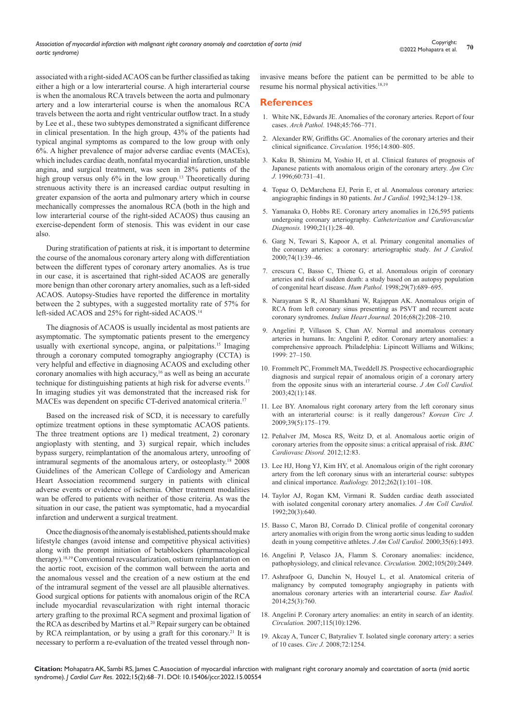associated with a right-sided ACAOS can be further classified as taking either a high or a low interarterial course. A high interarterial course is when the anomalous RCA travels between the aorta and pulmonary artery and a low interarterial course is when the anomalous RCA travels between the aorta and right ventricular outflow tract. In a study by Lee et al., these two subtypes demonstrated a significant difference in clinical presentation. In the high group, 43% of the patients had typical anginal symptoms as compared to the low group with only 6%. A higher prevalence of major adverse cardiac events (MACEs), which includes cardiac death, nonfatal myocardial infarction, unstable angina, and surgical treatment, was seen in 28% patients of the high group versus only 6% in the low group.<sup>13</sup> Theoretically during strenuous activity there is an increased cardiac output resulting in greater expansion of the aorta and pulmonary artery which in course mechanically compresses the anomalous RCA (both in the high and low interarterial course of the right-sided ACAOS) thus causing an exercise-dependent form of stenosis. This was evident in our case also.

During stratification of patients at risk, it is important to determine the course of the anomalous coronary artery along with differentiation between the different types of coronary artery anomalies. As is true in our case, it is ascertained that right-sided ACAOS are generally more benign than other coronary artery anomalies, such as a left-sided ACAOS. Autopsy-Studies have reported the difference in mortality between the 2 subtypes, with a suggested mortality rate of 57% for left-sided ACAOS and 25% for right-sided ACAOS.<sup>14</sup>

The diagnosis of ACAOS is usually incidental as most patients are asymptomatic. The symptomatic patients present to the emergency usually with exertional syncope, angina, or palpitations.<sup>15</sup> Imaging through a coronary computed tomography angiography (CCTA) is very helpful and effective in diagnosing ACAOS and excluding other coronary anomalies with high accuracy,<sup>16</sup> as well as being an accurate technique for distinguishing patients at high risk for adverse events.<sup>17</sup> In imaging studies yit was demonstrated that the increased risk for MACEs was dependent on specific CT-derived anatomical criteria.17

Based on the increased risk of SCD, it is necessary to carefully optimize treatment options in these symptomatic ACAOS patients. The three treatment options are 1) medical treatment, 2) coronary angioplasty with stenting, and 3) surgical repair, which includes bypass surgery, reimplantation of the anomalous artery, unroofing of intramural segments of the anomalous artery, or osteoplasty.18 2008 Guidelines of the American College of Cardiology and American Heart Association recommend surgery in patients with clinical adverse events or evidence of ischemia. Other treatment modalities wan be offered to patients with neither of those criteria. As was the situation in our case, the patient was symptomatic, had a myocardial infarction and underwent a surgical treatment.

Once the diagnosis of the anomaly is established, patients should make lifestyle changes (avoid intense and competitive physical activities) along with the prompt initiation of betablockers (pharmacological therapy).18,19 Conventional revascularization, ostium reimplantation on the aortic root, excision of the common wall between the aorta and the anomalous vessel and the creation of a new ostium at the end of the intramural segment of the vessel are all plausible alternatives. Good surgical options for patients with anomalous origin of the RCA include myocardial revascularization with right internal thoracic artery grafting to the proximal RCA segment and proximal ligation of the RCA as described by Martins et al.<sup>20</sup> Repair surgery can be obtained by RCA reimplantation, or by using a graft for this coronary.<sup>21</sup> It is necessary to perform a re-evaluation of the treated vessel through noninvasive means before the patient can be permitted to be able to resume his normal physical activities.18,19

## **References**

- 1. [White NK, Edwards JE. Anomalies of the coronary arteries. Report of four](https://pubmed.ncbi.nlm.nih.gov/18099650/)  cases. *Arch Pathol.* [1948;45:766‒771.](https://pubmed.ncbi.nlm.nih.gov/18099650/)
- 2. [Alexander RW, Griffiths GC. Anomalies of the coronary arteries and their](https://pubmed.ncbi.nlm.nih.gov/13374855/)  [clinical significance.](https://pubmed.ncbi.nlm.nih.gov/13374855/) *Circulation.* 1956;14:800‒805.
- 3. [Kaku B, Shimizu M, Yoshio H, et al. Clinical features of prognosis of](https://pubmed.ncbi.nlm.nih.gov/8933235/)  [Japanese patients with anomalous origin of the coronary artery.](https://pubmed.ncbi.nlm.nih.gov/8933235/) *Jpn Circ J.* 1996:60:731-41.
- 4. [Topaz O, DeMarchena EJ, Perin E, et al. Anomalous coronary arteries:](https://pubmed.ncbi.nlm.nih.gov/1737663/)  [angiographic findings in 80 patients.](https://pubmed.ncbi.nlm.nih.gov/1737663/) *Int J Cardiol*. 1992;34:129-138.
- 5. [Yamanaka O, Hobbs RE. Coronary artery anomalies in 126,595 patients](https://onlinelibrary.wiley.com/doi/pdf/10.1002/ccd.1810210110)  undergoing coronary arteriography. *[Catheterization and Cardiovascular](https://onlinelibrary.wiley.com/doi/pdf/10.1002/ccd.1810210110)  Diagnosis.* [1990;21\(1\):28‒40.](https://onlinelibrary.wiley.com/doi/pdf/10.1002/ccd.1810210110)
- 6. [Garg N, Tewari S, Kapoor A, et al. Primary congenital anomalies of](https://pubmed.ncbi.nlm.nih.gov/10854679/)  [the coronary arteries: a coronary: arteriographic study.](https://pubmed.ncbi.nlm.nih.gov/10854679/) *Int J Cardiol.* [2000;74\(1\):39‒46.](https://pubmed.ncbi.nlm.nih.gov/10854679/)
- 7. [crescura C, Basso C, Thiene G, et al. Anomalous origin of coronary](https://pubmed.ncbi.nlm.nih.gov/9670825/)  [arteries and risk of sudden death: a study based on an autopsy population](https://pubmed.ncbi.nlm.nih.gov/9670825/)  [of congenital heart disease.](https://pubmed.ncbi.nlm.nih.gov/9670825/) *Hum Pathol.* 1998;29(7):689–695.
- 8. [Narayanan S R, Al Shamkhani W, Rajappan AK. Anomalous origin of](https://europepmc.org/article/PMC/PMC4867971)  [RCA from left coronary sinus presenting as PSVT and recurrent acute](https://europepmc.org/article/PMC/PMC4867971)  coronary syndromes. *[Indian Heart Journal.](https://europepmc.org/article/PMC/PMC4867971)* 2016;68(2):208‒210.
- 9. Angelini P, Villason S, Chan AV. Normal and anomalous coronary arteries in humans. In: Angelini P, editor. Coronary artery anomalies: a comprehensive approach. Philadelphia: Lipincott Williams and Wilkins; 1999: 27‒150.
- 10. [Frommelt PC, Frommelt MA, Tweddell JS. Prospective echocardiographic](https://pubmed.ncbi.nlm.nih.gov/12849675/)  [diagnosis and surgical repair of anomalous origin of a coronary artery](https://pubmed.ncbi.nlm.nih.gov/12849675/)  [from the opposite sinus with an interarterial course.](https://pubmed.ncbi.nlm.nih.gov/12849675/) *J Am Coll Cardiol.*  [2003;42\(1\):148.](https://pubmed.ncbi.nlm.nih.gov/12849675/)
- 11. [Lee BY. Anomalous right coronary artery from the left coronary sinus](https://www.ncbi.nlm.nih.gov/pmc/articles/PMC2771782/)  [with an interarterial course: is it really dangerous?](https://www.ncbi.nlm.nih.gov/pmc/articles/PMC2771782/) *Korean Circ J.* [2009;39\(5\):175‒179.](https://www.ncbi.nlm.nih.gov/pmc/articles/PMC2771782/)
- 12. [Peñalver JM, Mosca RS, Weitz D, et al. Anomalous aortic origin of](https://pubmed.ncbi.nlm.nih.gov/23025810/)  [coronary arteries from the opposite sinus: a critical appraisal of risk.](https://pubmed.ncbi.nlm.nih.gov/23025810/) *BMC [Cardiovasc Disord.](https://pubmed.ncbi.nlm.nih.gov/23025810/)* 2012;12:83.
- 13. [Lee HJ, Hong YJ, Kim HY, et al. Anomalous origin of the right coronary](https://pubmed.ncbi.nlm.nih.gov/22056684/)  [artery from the left coronary sinus with an interarterial course: subtypes](https://pubmed.ncbi.nlm.nih.gov/22056684/)  [and clinical importance.](https://pubmed.ncbi.nlm.nih.gov/22056684/) *Radiology*. 2012;262(1):101-108.
- 14. [Taylor AJ, Rogan KM, Virmani R. Sudden cardiac death associated](https://pubmed.ncbi.nlm.nih.gov/1512344/)  [with isolated congenital coronary artery anomalies.](https://pubmed.ncbi.nlm.nih.gov/1512344/) *J Am Coll Cardiol.* [1992;20\(3\):640.](https://pubmed.ncbi.nlm.nih.gov/1512344/)
- 15. [Basso C, Maron BJ, Corrado D. Clinical profile of congenital coronary](https://www.sciencedirect.com/science/article/pii/S0735109700005660)  [artery anomalies with origin from the wrong aortic sinus leading to sudden](https://www.sciencedirect.com/science/article/pii/S0735109700005660)  [death in young competitive athletes.](https://www.sciencedirect.com/science/article/pii/S0735109700005660) *J Am Coll Cardiol.* 2000;35(6):1493.
- 16. [Angelini P, Velasco JA, Flamm S. Coronary anomalies: incidence,](https://pubmed.ncbi.nlm.nih.gov/12021235/)  [pathophysiology, and clinical relevance.](https://pubmed.ncbi.nlm.nih.gov/12021235/) *Circulation.* 2002;105(20):2449.
- 17. [Ashrafpoor G, Danchin N, Houyel L, et al. Anatomical criteria of](https://pubmed.ncbi.nlm.nih.gov/25304820/)  [malignancy by computed tomography angiography in patients with](https://pubmed.ncbi.nlm.nih.gov/25304820/)  [anomalous coronary arteries with an interarterial course.](https://pubmed.ncbi.nlm.nih.gov/25304820/) *Eur Radiol.* [2014;25\(3\):760.](https://pubmed.ncbi.nlm.nih.gov/25304820/)
- 18. [Angelini P. Coronary artery anomalies: an entity in search of an identity.](https://europepmc.org/article/MED/17353457)  *Circulation.* [2007;115\(10\):1296.](https://europepmc.org/article/MED/17353457)
- 19. [Akcay A, Tuncer C, Batyraliev T. Isolated single coronary artery: a series](https://www.semanticscholar.org/paper/Isolated-single-coronary-artery%3A-a-series-of-10-Ak%C3%A7ay-Tuncer/1a3b211546697e2397596cc8cc05a835e4eb6b19)  of 10 cases. *Circ J.* [2008;72:1254.](https://www.semanticscholar.org/paper/Isolated-single-coronary-artery%3A-a-series-of-10-Ak%C3%A7ay-Tuncer/1a3b211546697e2397596cc8cc05a835e4eb6b19)